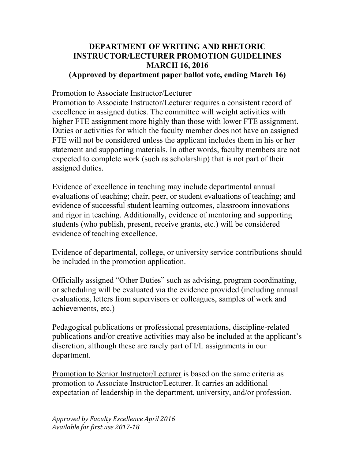## **DEPARTMENT OF WRITING AND RHETORIC INSTRUCTOR/LECTURER PROMOTION GUIDELINES MARCH 16, 2016**

## **(Approved by department paper ballot vote, ending March 16)**

## Promotion to Associate Instructor/Lecturer

Promotion to Associate Instructor/Lecturer requires a consistent record of excellence in assigned duties. The committee will weight activities with higher FTE assignment more highly than those with lower FTE assignment. Duties or activities for which the faculty member does not have an assigned FTE will not be considered unless the applicant includes them in his or her statement and supporting materials. In other words, faculty members are not expected to complete work (such as scholarship) that is not part of their assigned duties.

Evidence of excellence in teaching may include departmental annual evaluations of teaching; chair, peer, or student evaluations of teaching; and evidence of successful student learning outcomes, classroom innovations and rigor in teaching. Additionally, evidence of mentoring and supporting students (who publish, present, receive grants, etc.) will be considered evidence of teaching excellence.

Evidence of departmental, college, or university service contributions should be included in the promotion application.

Officially assigned "Other Duties" such as advising, program coordinating, or scheduling will be evaluated via the evidence provided (including annual evaluations, letters from supervisors or colleagues, samples of work and achievements, etc.)

Pedagogical publications or professional presentations, discipline-related publications and/or creative activities may also be included at the applicant's discretion, although these are rarely part of I/L assignments in our department.

Promotion to Senior Instructor/Lecturer is based on the same criteria as promotion to Associate Instructor/Lecturer. It carries an additional expectation of leadership in the department, university, and/or profession.

*Approved by Faculty Excellence April 2016 Available for first use 2017-18*